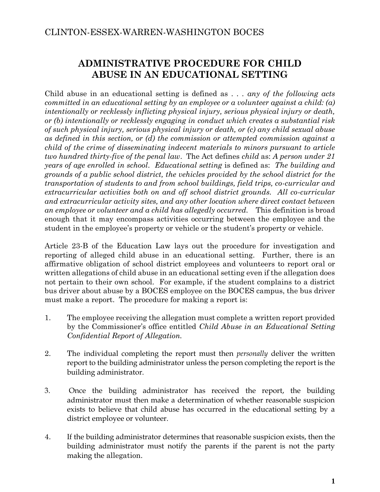# **ADMINISTRATIVE PROCEDURE FOR CHILD ABUSE IN AN EDUCATIONAL SETTING**

Child abuse in an educational setting is defined as *. . . any of the following acts committed in an educational setting by an employee or a volunteer against a child: (a) intentionally or recklessly inflicting physical injury, serious physical injury or death, or (b) intentionally or recklessly engaging in conduct which creates a substantial risk of such physical injury, serious physical injury or death, or (c) any child sexual abuse as defined in this section, or (d) the commission or attempted commission against a child of the crime of disseminating indecent materials to minors pursuant to article two hundred thirty-five of the penal law*. The Act defines *child* as: *A person under 21 years of age enrolled in school*. *Educational setting* is defined as: *The building and grounds of a public school district, the vehicles provided by the school district for the transportation of students to and from school buildings, field trips, co-curricular and extracurricular activities both on and off school district grounds. All co-curricular and extracurricular activity sites, and any other location where direct contact between an employee or volunteer and a child has allegedly occurred.* This definition is broad enough that it may encompass activities occurring between the employee and the student in the employee's property or vehicle or the student's property or vehicle.

Article 23-B of the Education Law lays out the procedure for investigation and reporting of alleged child abuse in an educational setting. Further, there is an affirmative obligation of school district employees and volunteers to report oral or written allegations of child abuse in an educational setting even if the allegation does not pertain to their own school. For example, if the student complains to a district bus driver about abuse by a BOCES employee on the BOCES campus, the bus driver must make a report. The procedure for making a report is:

- 1. The employee receiving the allegation must complete a written report provided by the Commissioner's office entitled *Child Abuse in an Educational Setting Confidential Report of Allegation.*
- 2. The individual completing the report must then *personally* deliver the written report to the building administrator unless the person completing the report is the building administrator.
- 3. Once the building administrator has received the report, the building administrator must then make a determination of whether reasonable suspicion exists to believe that child abuse has occurred in the educational setting by a district employee or volunteer.
- 4. If the building administrator determines that reasonable suspicion exists, then the building administrator must notify the parents if the parent is not the party making the allegation.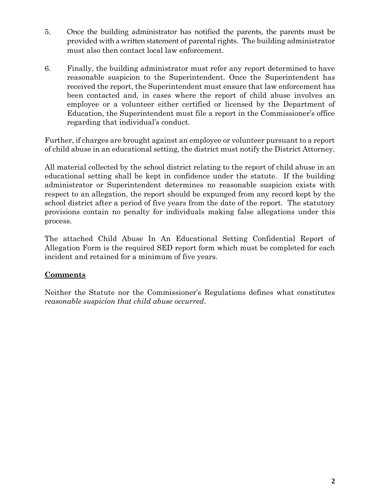- 5. Once the building administrator has notified the parents, the parents must be provided with a written statement of parental rights. The building administrator must also then contact local law enforcement.
- 6. Finally, the building administrator must refer any report determined to have reasonable suspicion to the Superintendent. Once the Superintendent has received the report, the Superintendent must ensure that law enforcement has been contacted and, in cases where the report of child abuse involves an employee or a volunteer either certified or licensed by the Department of Education, the Superintendent must file a report in the Commissioner's office regarding that individual's conduct.

Further, if charges are brought against an employee or volunteer pursuant to a report of child abuse in an educational setting, the district must notify the District Attorney.

All material collected by the school district relating to the report of child abuse in an educational setting shall be kept in confidence under the statute. If the building administrator or Superintendent determines no reasonable suspicion exists with respect to an allegation, the report should be expunged from any record kept by the school district after a period of five years from the date of the report. The statutory provisions contain no penalty for individuals making false allegations under this process.

The attached Child Abuse In An Educational Setting Confidential Report of Allegation Form is the required SED report form which must be completed for each incident and retained for a minimum of five years.

### **Comments**

Neither the Statute nor the Commissioner's Regulations defines what constitutes *reasonable suspicion that child abuse occurred*.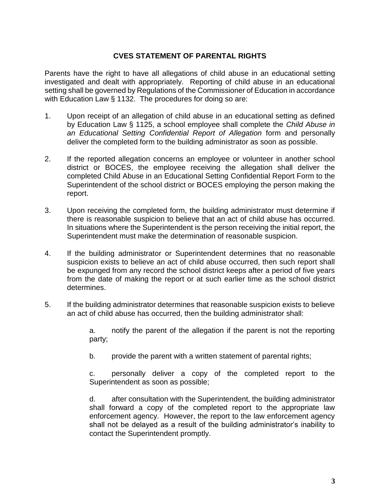#### **CVES STATEMENT OF PARENTAL RIGHTS**

Parents have the right to have all allegations of child abuse in an educational setting investigated and dealt with appropriately. Reporting of child abuse in an educational setting shall be governed by Regulations of the Commissioner of Education in accordance with Education Law § 1132. The procedures for doing so are:

- 1. Upon receipt of an allegation of child abuse in an educational setting as defined by Education Law § 1125, a school employee shall complete the *Child Abuse in an Educational Setting Confidential Report of Allegation* form and personally deliver the completed form to the building administrator as soon as possible.
- 2. If the reported allegation concerns an employee or volunteer in another school district or BOCES, the employee receiving the allegation shall deliver the completed Child Abuse in an Educational Setting Confidential Report Form to the Superintendent of the school district or BOCES employing the person making the report.
- 3. Upon receiving the completed form, the building administrator must determine if there is reasonable suspicion to believe that an act of child abuse has occurred. In situations where the Superintendent is the person receiving the initial report, the Superintendent must make the determination of reasonable suspicion.
- 4. If the building administrator or Superintendent determines that no reasonable suspicion exists to believe an act of child abuse occurred, then such report shall be expunged from any record the school district keeps after a period of five years from the date of making the report or at such earlier time as the school district determines.
- 5. If the building administrator determines that reasonable suspicion exists to believe an act of child abuse has occurred, then the building administrator shall:

a. notify the parent of the allegation if the parent is not the reporting party;

b. provide the parent with a written statement of parental rights;

c. personally deliver a copy of the completed report to the Superintendent as soon as possible;

d. after consultation with the Superintendent, the building administrator shall forward a copy of the completed report to the appropriate law enforcement agency. However, the report to the law enforcement agency shall not be delayed as a result of the building administrator's inability to contact the Superintendent promptly.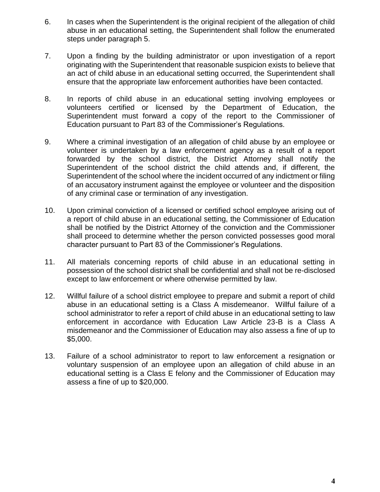- 6. In cases when the Superintendent is the original recipient of the allegation of child abuse in an educational setting, the Superintendent shall follow the enumerated steps under paragraph 5.
- 7. Upon a finding by the building administrator or upon investigation of a report originating with the Superintendent that reasonable suspicion exists to believe that an act of child abuse in an educational setting occurred, the Superintendent shall ensure that the appropriate law enforcement authorities have been contacted.
- 8. In reports of child abuse in an educational setting involving employees or volunteers certified or licensed by the Department of Education, the Superintendent must forward a copy of the report to the Commissioner of Education pursuant to Part 83 of the Commissioner's Regulations.
- 9. Where a criminal investigation of an allegation of child abuse by an employee or volunteer is undertaken by a law enforcement agency as a result of a report forwarded by the school district, the District Attorney shall notify the Superintendent of the school district the child attends and, if different, the Superintendent of the school where the incident occurred of any indictment or filing of an accusatory instrument against the employee or volunteer and the disposition of any criminal case or termination of any investigation.
- 10. Upon criminal conviction of a licensed or certified school employee arising out of a report of child abuse in an educational setting, the Commissioner of Education shall be notified by the District Attorney of the conviction and the Commissioner shall proceed to determine whether the person convicted possesses good moral character pursuant to Part 83 of the Commissioner's Regulations.
- 11. All materials concerning reports of child abuse in an educational setting in possession of the school district shall be confidential and shall not be re-disclosed except to law enforcement or where otherwise permitted by law.
- 12. Willful failure of a school district employee to prepare and submit a report of child abuse in an educational setting is a Class A misdemeanor. Willful failure of a school administrator to refer a report of child abuse in an educational setting to law enforcement in accordance with Education Law Article 23-B is a Class A misdemeanor and the Commissioner of Education may also assess a fine of up to \$5,000.
- 13. Failure of a school administrator to report to law enforcement a resignation or voluntary suspension of an employee upon an allegation of child abuse in an educational setting is a Class E felony and the Commissioner of Education may assess a fine of up to \$20,000.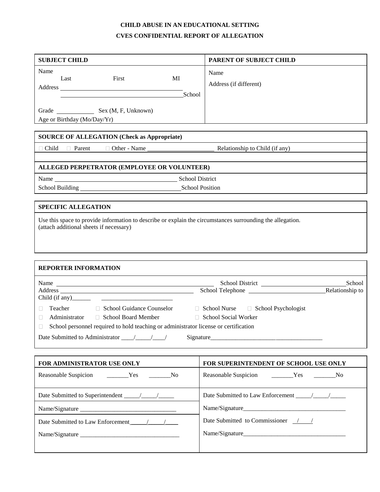## **CHILD ABUSE IN AN EDUCATIONAL SETTING CVES CONFIDENTIAL REPORT OF ALLEGATION**

|                                                                                                                                                                                                                                                                                      | PARENT OF SUBJECT CHILD                             |  |
|--------------------------------------------------------------------------------------------------------------------------------------------------------------------------------------------------------------------------------------------------------------------------------------|-----------------------------------------------------|--|
| Name<br>Last<br>First<br>MI<br>School                                                                                                                                                                                                                                                | Name<br>Address (if different)                      |  |
| Age or Birthday (Mo/Day/Yr)                                                                                                                                                                                                                                                          |                                                     |  |
| <b>SOURCE OF ALLEGATION (Check as Appropriate)</b>                                                                                                                                                                                                                                   |                                                     |  |
| $\Box$ Child $\Box$ Parent<br>□ Other - Name<br><u>and the company of the company of the company of the company of the company of the company of the company of the company of the company of the company of the company of the company of the company of the company of the com</u> | Relationship to Child (if any)                      |  |
| ALLEGED PERPETRATOR (EMPLOYEE OR VOLUNTEER)                                                                                                                                                                                                                                          |                                                     |  |
| Name School District<br>School Building<br>School Position                                                                                                                                                                                                                           |                                                     |  |
| <b>SPECIFIC ALLEGATION</b>                                                                                                                                                                                                                                                           |                                                     |  |
| Use this space to provide information to describe or explain the circumstances surrounding the allegation.<br>(attach additional sheets if necessary)                                                                                                                                |                                                     |  |
| <b>REPORTER INFORMATION</b>                                                                                                                                                                                                                                                          |                                                     |  |
|                                                                                                                                                                                                                                                                                      |                                                     |  |
| Name                                                                                                                                                                                                                                                                                 |                                                     |  |
| □ School Guidance Counselor □ School Nurse □ School Psychologist<br>Teacher<br>П<br>Administrator □ School Board Member<br>$\Box$<br>School personnel required to hold teaching or administrator license or certification                                                            | School Social Worker<br>Signature                   |  |
|                                                                                                                                                                                                                                                                                      | FOR SUPERINTENDENT OF SCHOOL USE ONLY               |  |
| FOR ADMINISTRATOR USE ONLY<br>Reasonable Suspicion __________Yes _________No                                                                                                                                                                                                         |                                                     |  |
|                                                                                                                                                                                                                                                                                      |                                                     |  |
|                                                                                                                                                                                                                                                                                      |                                                     |  |
|                                                                                                                                                                                                                                                                                      | Date Submitted to Commissioner $\frac{1}{\sqrt{2}}$ |  |

H